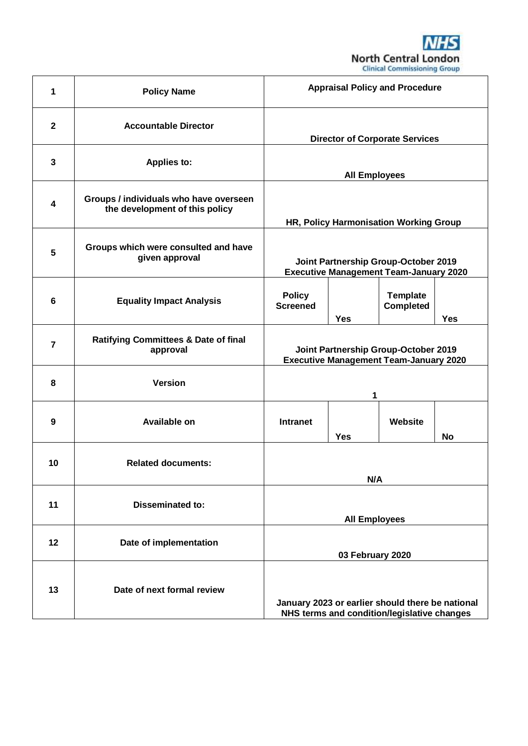

| 1                       | <b>Policy Name</b>                                                       | <b>Appraisal Policy and Procedure</b>                                                 |                      |                                                                                                 |            |
|-------------------------|--------------------------------------------------------------------------|---------------------------------------------------------------------------------------|----------------------|-------------------------------------------------------------------------------------------------|------------|
| $\mathbf{2}$            | <b>Accountable Director</b>                                              | <b>Director of Corporate Services</b>                                                 |                      |                                                                                                 |            |
| $\mathbf{3}$            | <b>Applies to:</b>                                                       |                                                                                       | <b>All Employees</b> |                                                                                                 |            |
| $\overline{\mathbf{4}}$ | Groups / individuals who have overseen<br>the development of this policy | HR, Policy Harmonisation Working Group                                                |                      |                                                                                                 |            |
| 5                       | Groups which were consulted and have<br>given approval                   | Joint Partnership Group-October 2019<br><b>Executive Management Team-January 2020</b> |                      |                                                                                                 |            |
| 6                       | <b>Equality Impact Analysis</b>                                          | <b>Policy</b><br><b>Screened</b>                                                      | <b>Yes</b>           | <b>Template</b><br><b>Completed</b>                                                             | <b>Yes</b> |
| 7                       | <b>Ratifying Committees &amp; Date of final</b><br>approval              |                                                                                       |                      | Joint Partnership Group-October 2019<br><b>Executive Management Team-January 2020</b>           |            |
| 8                       | <b>Version</b>                                                           |                                                                                       | 1                    |                                                                                                 |            |
| $\boldsymbol{9}$        | <b>Available on</b>                                                      | <b>Intranet</b>                                                                       | <b>Yes</b>           | Website                                                                                         | No         |
| 10                      | <b>Related documents:</b>                                                |                                                                                       | N/A                  |                                                                                                 |            |
| 11                      | <b>Disseminated to:</b>                                                  |                                                                                       | <b>All Employees</b> |                                                                                                 |            |
| 12                      | Date of implementation                                                   | 03 February 2020                                                                      |                      |                                                                                                 |            |
| 13                      | Date of next formal review                                               |                                                                                       |                      | January 2023 or earlier should there be national<br>NHS terms and condition/legislative changes |            |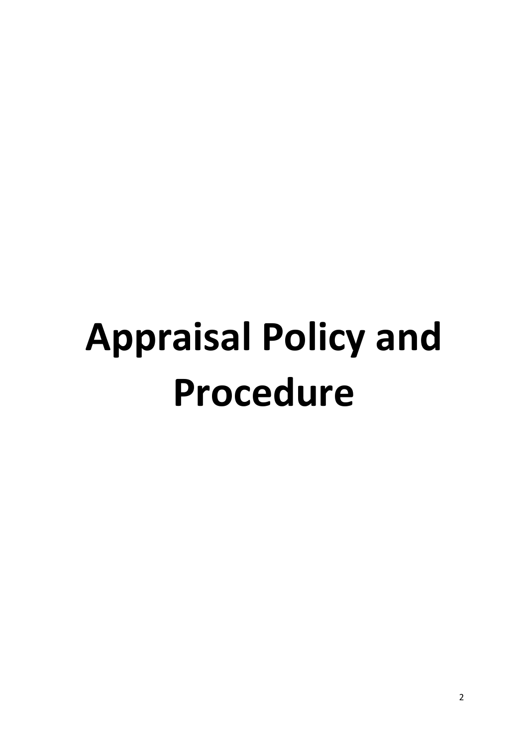# **Appraisal Policy and Procedure**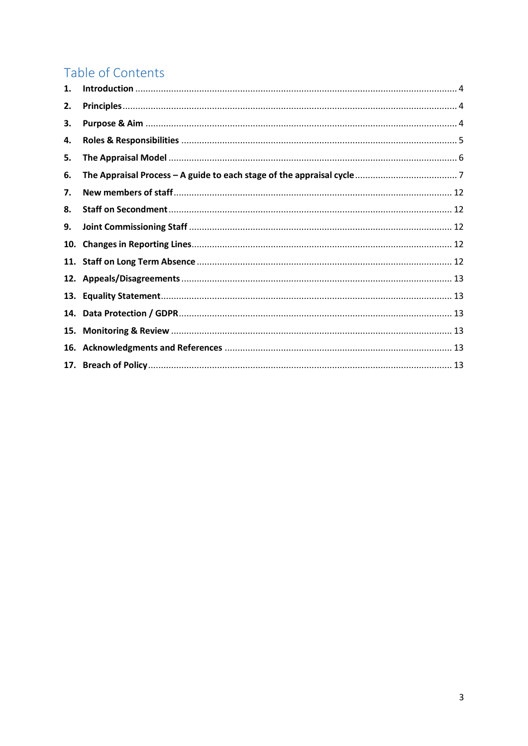# Table of Contents

| 1.  |  |
|-----|--|
| 2.  |  |
| З.  |  |
| 4.  |  |
| 5.  |  |
| 6.  |  |
| 7.  |  |
| 8.  |  |
| 9.  |  |
| 10. |  |
|     |  |
|     |  |
| 13. |  |
| 14. |  |
| 15. |  |
| 16. |  |
|     |  |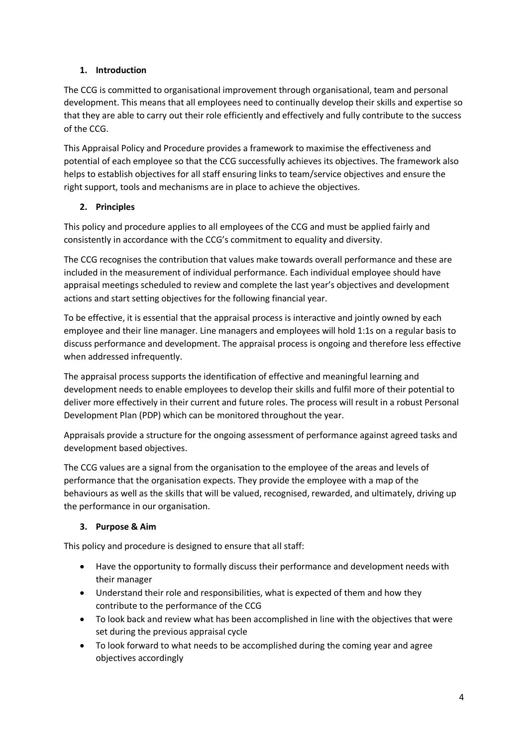# <span id="page-3-0"></span>**1. Introduction**

The CCG is committed to organisational improvement through organisational, team and personal development. This means that all employees need to continually develop their skills and expertise so that they are able to carry out their role efficiently and effectively and fully contribute to the success of the CCG.

This Appraisal Policy and Procedure provides a framework to maximise the effectiveness and potential of each employee so that the CCG successfully achieves its objectives. The framework also helps to establish objectives for all staff ensuring links to team/service objectives and ensure the right support, tools and mechanisms are in place to achieve the objectives.

# <span id="page-3-1"></span>**2. Principles**

This policy and procedure applies to all employees of the CCG and must be applied fairly and consistently in accordance with the CCG's commitment to equality and diversity.

The CCG recognises the contribution that values make towards overall performance and these are included in the measurement of individual performance. Each individual employee should have appraisal meetings scheduled to review and complete the last year's objectives and development actions and start setting objectives for the following financial year.

To be effective, it is essential that the appraisal process is interactive and jointly owned by each employee and their line manager. Line managers and employees will hold 1:1s on a regular basis to discuss performance and development. The appraisal process is ongoing and therefore less effective when addressed infrequently.

The appraisal process supports the identification of effective and meaningful learning and development needs to enable employees to develop their skills and fulfil more of their potential to deliver more effectively in their current and future roles. The process will result in a robust Personal Development Plan (PDP) which can be monitored throughout the year.

Appraisals provide a structure for the ongoing assessment of performance against agreed tasks and development based objectives.

The CCG values are a signal from the organisation to the employee of the areas and levels of performance that the organisation expects. They provide the employee with a map of the behaviours as well as the skills that will be valued, recognised, rewarded, and ultimately, driving up the performance in our organisation.

# <span id="page-3-2"></span>**3. Purpose & Aim**

This policy and procedure is designed to ensure that all staff:

- Have the opportunity to formally discuss their performance and development needs with their manager
- Understand their role and responsibilities, what is expected of them and how they contribute to the performance of the CCG
- To look back and review what has been accomplished in line with the objectives that were set during the previous appraisal cycle
- To look forward to what needs to be accomplished during the coming year and agree objectives accordingly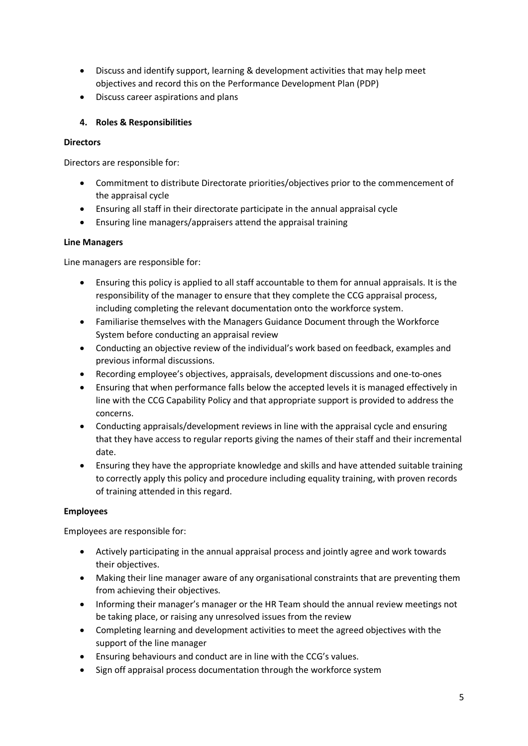- Discuss and identify support, learning & development activities that may help meet objectives and record this on the Performance Development Plan (PDP)
- Discuss career aspirations and plans

# <span id="page-4-0"></span>**4. Roles & Responsibilities**

#### **Directors**

Directors are responsible for:

- Commitment to distribute Directorate priorities/objectives prior to the commencement of the appraisal cycle
- Ensuring all staff in their directorate participate in the annual appraisal cycle
- Ensuring line managers/appraisers attend the appraisal training

# **Line Managers**

Line managers are responsible for:

- Ensuring this policy is applied to all staff accountable to them for annual appraisals. It is the responsibility of the manager to ensure that they complete the CCG appraisal process, including completing the relevant documentation onto the workforce system.
- Familiarise themselves with the Managers Guidance Document through the Workforce System before conducting an appraisal review
- Conducting an objective review of the individual's work based on feedback, examples and previous informal discussions.
- Recording employee's objectives, appraisals, development discussions and one-to-ones
- Ensuring that when performance falls below the accepted levels it is managed effectively in line with the CCG Capability Policy and that appropriate support is provided to address the concerns.
- Conducting appraisals/development reviews in line with the appraisal cycle and ensuring that they have access to regular reports giving the names of their staff and their incremental date.
- Ensuring they have the appropriate knowledge and skills and have attended suitable training to correctly apply this policy and procedure including equality training, with proven records of training attended in this regard.

# **Employees**

Employees are responsible for:

- Actively participating in the annual appraisal process and jointly agree and work towards their objectives.
- Making their line manager aware of any organisational constraints that are preventing them from achieving their objectives.
- Informing their manager's manager or the HR Team should the annual review meetings not be taking place, or raising any unresolved issues from the review
- Completing learning and development activities to meet the agreed objectives with the support of the line manager
- Ensuring behaviours and conduct are in line with the CCG's values.
- Sign off appraisal process documentation through the workforce system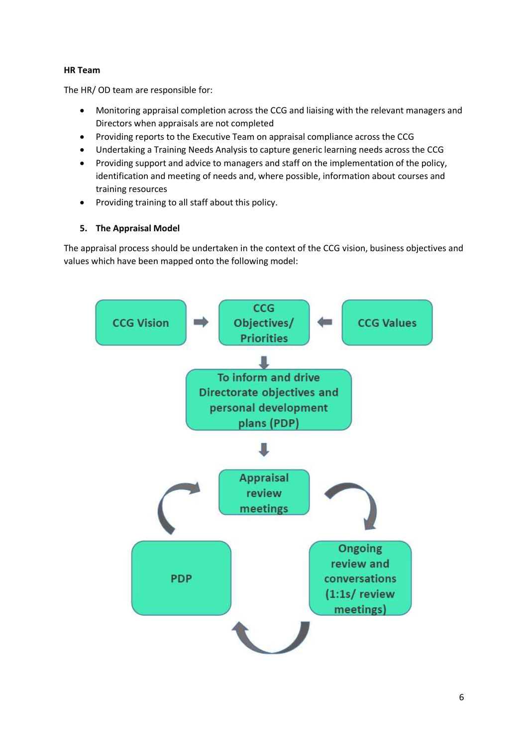#### **HR Team**

The HR/ OD team are responsible for:

- Monitoring appraisal completion across the CCG and liaising with the relevant managers and Directors when appraisals are not completed
- Providing reports to the Executive Team on appraisal compliance across the CCG
- Undertaking a Training Needs Analysis to capture generic learning needs across the CCG
- Providing support and advice to managers and staff on the implementation of the policy, identification and meeting of needs and, where possible, information about courses and training resources
- Providing training to all staff about this policy.

#### <span id="page-5-0"></span>**5. The Appraisal Model**

The appraisal process should be undertaken in the context of the CCG vision, business objectives and values which have been mapped onto the following model:

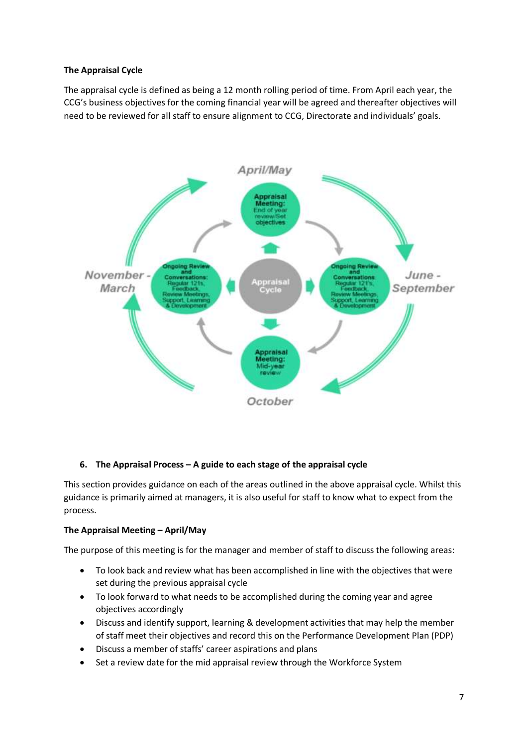#### **The Appraisal Cycle**

The appraisal cycle is defined as being a 12 month rolling period of time. From April each year, the CCG's business objectives for the coming financial year will be agreed and thereafter objectives will need to be reviewed for all staff to ensure alignment to CCG, Directorate and individuals' goals.



#### <span id="page-6-0"></span>**6. The Appraisal Process – A guide to each stage of the appraisal cycle**

This section provides guidance on each of the areas outlined in the above appraisal cycle. Whilst this guidance is primarily aimed at managers, it is also useful for staff to know what to expect from the process.

#### **The Appraisal Meeting – April/May**

The purpose of this meeting is for the manager and member of staff to discuss the following areas:

- To look back and review what has been accomplished in line with the objectives that were set during the previous appraisal cycle
- To look forward to what needs to be accomplished during the coming year and agree objectives accordingly
- Discuss and identify support, learning & development activities that may help the member of staff meet their objectives and record this on the Performance Development Plan (PDP)
- Discuss a member of staffs' career aspirations and plans
- Set a review date for the mid appraisal review through the Workforce System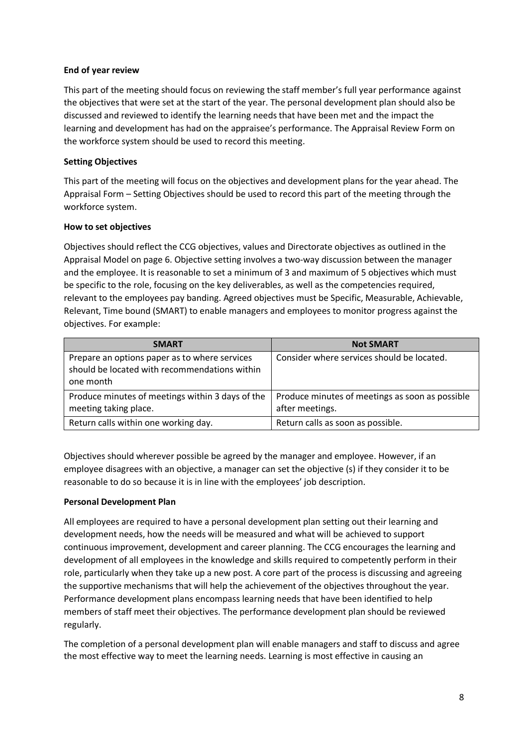#### **End of year review**

This part of the meeting should focus on reviewing the staff member's full year performance against the objectives that were set at the start of the year. The personal development plan should also be discussed and reviewed to identify the learning needs that have been met and the impact the learning and development has had on the appraisee's performance. The Appraisal Review Form on the workforce system should be used to record this meeting.

#### **Setting Objectives**

This part of the meeting will focus on the objectives and development plans for the year ahead. The Appraisal Form – Setting Objectives should be used to record this part of the meeting through the workforce system.

#### **How to set objectives**

Objectives should reflect the CCG objectives, values and Directorate objectives as outlined in the Appraisal Model on page 6. Objective setting involves a two-way discussion between the manager and the employee. It is reasonable to set a minimum of 3 and maximum of 5 objectives which must be specific to the role, focusing on the key deliverables, as well as the competencies required, relevant to the employees pay banding. Agreed objectives must be Specific, Measurable, Achievable, Relevant, Time bound (SMART) to enable managers and employees to monitor progress against the objectives. For example:

| <b>SMART</b>                                                                                                | <b>Not SMART</b>                                                   |
|-------------------------------------------------------------------------------------------------------------|--------------------------------------------------------------------|
| Prepare an options paper as to where services<br>should be located with recommendations within<br>one month | Consider where services should be located.                         |
| Produce minutes of meetings within 3 days of the<br>meeting taking place.                                   | Produce minutes of meetings as soon as possible<br>after meetings. |
| Return calls within one working day.                                                                        | Return calls as soon as possible.                                  |

Objectives should wherever possible be agreed by the manager and employee. However, if an employee disagrees with an objective, a manager can set the objective (s) if they consider it to be reasonable to do so because it is in line with the employees' job description.

#### **Personal Development Plan**

All employees are required to have a personal development plan setting out their learning and development needs, how the needs will be measured and what will be achieved to support continuous improvement, development and career planning. The CCG encourages the learning and development of all employees in the knowledge and skills required to competently perform in their role, particularly when they take up a new post. A core part of the process is discussing and agreeing the supportive mechanisms that will help the achievement of the objectives throughout the year. Performance development plans encompass learning needs that have been identified to help members of staff meet their objectives. The performance development plan should be reviewed regularly.

The completion of a personal development plan will enable managers and staff to discuss and agree the most effective way to meet the learning needs. Learning is most effective in causing an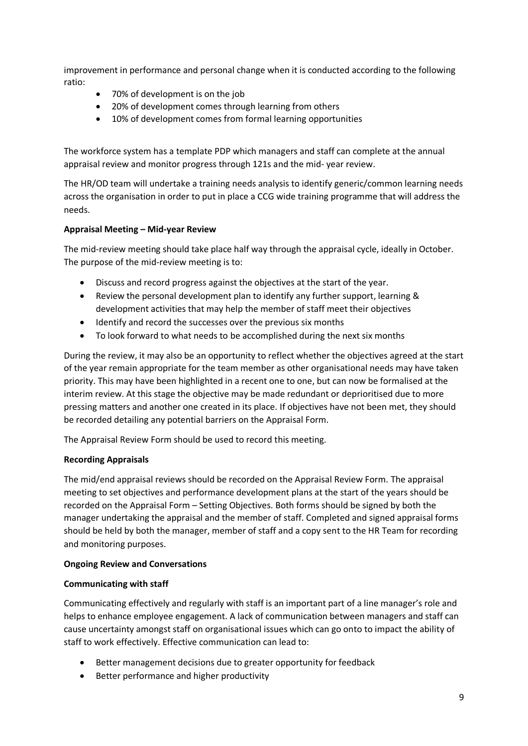improvement in performance and personal change when it is conducted according to the following ratio:

- 70% of development is on the job
- 20% of development comes through learning from others
- 10% of development comes from formal learning opportunities

The workforce system has a template PDP which managers and staff can complete at the annual appraisal review and monitor progress through 121s and the mid- year review.

The HR/OD team will undertake a training needs analysis to identify generic/common learning needs across the organisation in order to put in place a CCG wide training programme that will address the needs.

#### **Appraisal Meeting – Mid-year Review**

The mid-review meeting should take place half way through the appraisal cycle, ideally in October. The purpose of the mid-review meeting is to:

- Discuss and record progress against the objectives at the start of the year.
- Review the personal development plan to identify any further support, learning & development activities that may help the member of staff meet their objectives
- Identify and record the successes over the previous six months
- To look forward to what needs to be accomplished during the next six months

During the review, it may also be an opportunity to reflect whether the objectives agreed at the start of the year remain appropriate for the team member as other organisational needs may have taken priority. This may have been highlighted in a recent one to one, but can now be formalised at the interim review. At this stage the objective may be made redundant or deprioritised due to more pressing matters and another one created in its place. If objectives have not been met, they should be recorded detailing any potential barriers on the Appraisal Form.

The Appraisal Review Form should be used to record this meeting.

#### **Recording Appraisals**

The mid/end appraisal reviews should be recorded on the Appraisal Review Form. The appraisal meeting to set objectives and performance development plans at the start of the years should be recorded on the Appraisal Form – Setting Objectives. Both forms should be signed by both the manager undertaking the appraisal and the member of staff. Completed and signed appraisal forms should be held by both the manager, member of staff and a copy sent to the HR Team for recording and monitoring purposes.

#### **Ongoing Review and Conversations**

#### **Communicating with staff**

Communicating effectively and regularly with staff is an important part of a line manager's role and helps to enhance employee engagement. A lack of communication between managers and staff can cause uncertainty amongst staff on organisational issues which can go onto to impact the ability of staff to work effectively. Effective communication can lead to:

- Better management decisions due to greater opportunity for feedback
- Better performance and higher productivity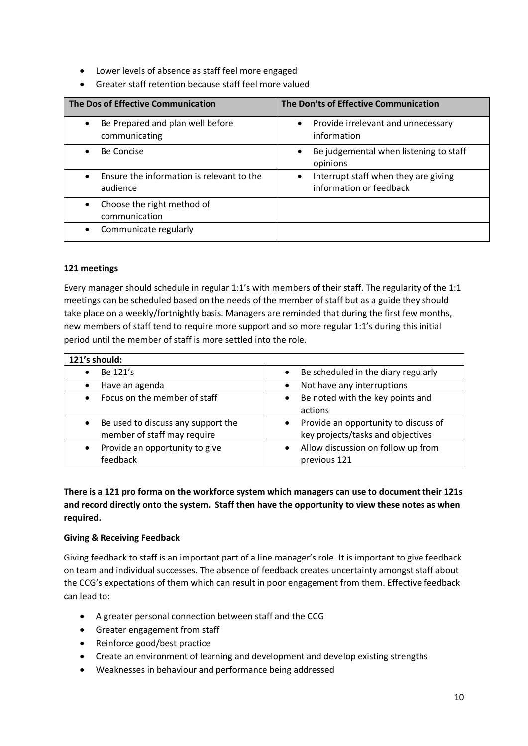- Lower levels of absence as staff feel more engaged
- Greater staff retention because staff feel more valued

| The Dos of Effective Communication                    | The Don'ts of Effective Communication                                        |  |
|-------------------------------------------------------|------------------------------------------------------------------------------|--|
| Be Prepared and plan well before<br>communicating     | Provide irrelevant and unnecessary<br>$\bullet$<br>information               |  |
| <b>Be Concise</b>                                     | Be judgemental when listening to staff<br>$\bullet$<br>opinions              |  |
| Ensure the information is relevant to the<br>audience | Interrupt staff when they are giving<br>$\bullet$<br>information or feedback |  |
| Choose the right method of<br>communication           |                                                                              |  |
| Communicate regularly                                 |                                                                              |  |

#### **121 meetings**

Every manager should schedule in regular 1:1's with members of their staff. The regularity of the 1:1 meetings can be scheduled based on the needs of the member of staff but as a guide they should take place on a weekly/fortnightly basis. Managers are reminded that during the first few months, new members of staff tend to require more support and so more regular 1:1's during this initial period until the member of staff is more settled into the role.

| 121's should:                                   |                                                   |  |  |  |
|-------------------------------------------------|---------------------------------------------------|--|--|--|
| Be 121's                                        | Be scheduled in the diary regularly<br>$\bullet$  |  |  |  |
| Have an agenda                                  | Not have any interruptions<br>$\bullet$           |  |  |  |
| Focus on the member of staff                    | Be noted with the key points and<br>$\bullet$     |  |  |  |
|                                                 | actions                                           |  |  |  |
| Be used to discuss any support the<br>$\bullet$ | Provide an opportunity to discuss of<br>$\bullet$ |  |  |  |
| member of staff may require                     | key projects/tasks and objectives                 |  |  |  |
| Provide an opportunity to give                  | Allow discussion on follow up from<br>$\bullet$   |  |  |  |
| feedback                                        | previous 121                                      |  |  |  |

# **There is a 121 pro forma on the workforce system which managers can use to document their 121s and record directly onto the system. Staff then have the opportunity to view these notes as when required.**

#### **Giving & Receiving Feedback**

Giving feedback to staff is an important part of a line manager's role. It is important to give feedback on team and individual successes. The absence of feedback creates uncertainty amongst staff about the CCG's expectations of them which can result in poor engagement from them. Effective feedback can lead to:

- A greater personal connection between staff and the CCG
- Greater engagement from staff
- Reinforce good/best practice
- Create an environment of learning and development and develop existing strengths
- Weaknesses in behaviour and performance being addressed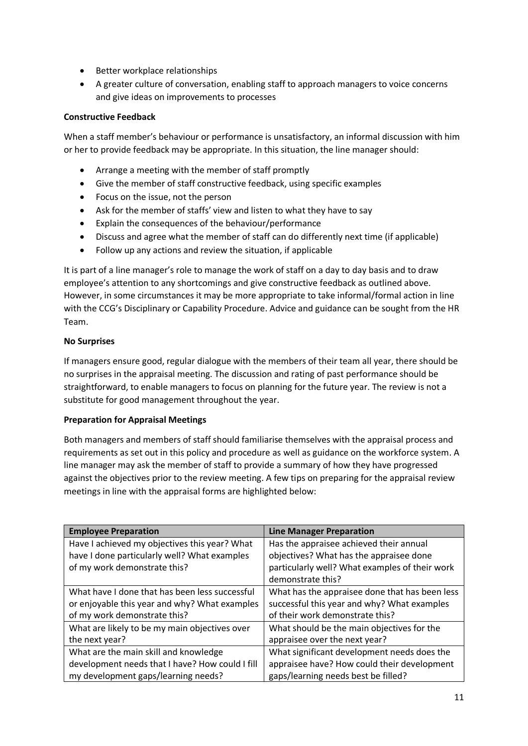- Better workplace relationships
- A greater culture of conversation, enabling staff to approach managers to voice concerns and give ideas on improvements to processes

#### **Constructive Feedback**

When a staff member's behaviour or performance is unsatisfactory, an informal discussion with him or her to provide feedback may be appropriate. In this situation, the line manager should:

- Arrange a meeting with the member of staff promptly
- Give the member of staff constructive feedback, using specific examples
- Focus on the issue, not the person
- Ask for the member of staffs' view and listen to what they have to say
- Explain the consequences of the behaviour/performance
- Discuss and agree what the member of staff can do differently next time (if applicable)
- Follow up any actions and review the situation, if applicable

It is part of a line manager's role to manage the work of staff on a day to day basis and to draw employee's attention to any shortcomings and give constructive feedback as outlined above. However, in some circumstances it may be more appropriate to take informal/formal action in line with the CCG's Disciplinary or Capability Procedure. Advice and guidance can be sought from the HR Team.

#### **No Surprises**

If managers ensure good, regular dialogue with the members of their team all year, there should be no surprises in the appraisal meeting. The discussion and rating of past performance should be straightforward, to enable managers to focus on planning for the future year. The review is not a substitute for good management throughout the year.

#### **Preparation for Appraisal Meetings**

Both managers and members of staff should familiarise themselves with the appraisal process and requirements as set out in this policy and procedure as well as guidance on the workforce system. A line manager may ask the member of staff to provide a summary of how they have progressed against the objectives prior to the review meeting. A few tips on preparing for the appraisal review meetings in line with the appraisal forms are highlighted below:

| <b>Employee Preparation</b>                     | <b>Line Manager Preparation</b>                |
|-------------------------------------------------|------------------------------------------------|
| Have I achieved my objectives this year? What   | Has the appraisee achieved their annual        |
| have I done particularly well? What examples    | objectives? What has the appraisee done        |
| of my work demonstrate this?                    | particularly well? What examples of their work |
|                                                 | demonstrate this?                              |
| What have I done that has been less successful  | What has the appraisee done that has been less |
| or enjoyable this year and why? What examples   | successful this year and why? What examples    |
| of my work demonstrate this?                    | of their work demonstrate this?                |
| What are likely to be my main objectives over   | What should be the main objectives for the     |
| the next year?                                  | appraisee over the next year?                  |
| What are the main skill and knowledge           | What significant development needs does the    |
| development needs that I have? How could I fill | appraisee have? How could their development    |
| my development gaps/learning needs?             | gaps/learning needs best be filled?            |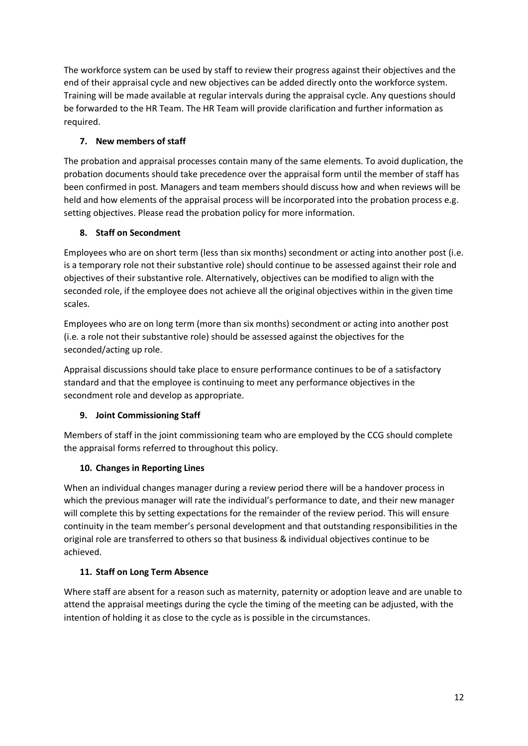The workforce system can be used by staff to review their progress against their objectives and the end of their appraisal cycle and new objectives can be added directly onto the workforce system. Training will be made available at regular intervals during the appraisal cycle. Any questions should be forwarded to the HR Team. The HR Team will provide clarification and further information as required.

# <span id="page-11-0"></span>**7. New members of staff**

The probation and appraisal processes contain many of the same elements. To avoid duplication, the probation documents should take precedence over the appraisal form until the member of staff has been confirmed in post. Managers and team members should discuss how and when reviews will be held and how elements of the appraisal process will be incorporated into the probation process e.g. setting objectives. Please read the probation policy for more information.

# <span id="page-11-1"></span>**8. Staff on Secondment**

Employees who are on short term (less than six months) secondment or acting into another post (i.e. is a temporary role not their substantive role) should continue to be assessed against their role and objectives of their substantive role. Alternatively, objectives can be modified to align with the seconded role, if the employee does not achieve all the original objectives within in the given time scales.

Employees who are on long term (more than six months) secondment or acting into another post (i.e. a role not their substantive role) should be assessed against the objectives for the seconded/acting up role.

Appraisal discussions should take place to ensure performance continues to be of a satisfactory standard and that the employee is continuing to meet any performance objectives in the secondment role and develop as appropriate.

# <span id="page-11-2"></span>**9. Joint Commissioning Staff**

Members of staff in the joint commissioning team who are employed by the CCG should complete the appraisal forms referred to throughout this policy.

# <span id="page-11-3"></span>**10. Changes in Reporting Lines**

When an individual changes manager during a review period there will be a handover process in which the previous manager will rate the individual's performance to date, and their new manager will complete this by setting expectations for the remainder of the review period. This will ensure continuity in the team member's personal development and that outstanding responsibilities in the original role are transferred to others so that business & individual objectives continue to be achieved.

# <span id="page-11-4"></span>**11. Staff on Long Term Absence**

Where staff are absent for a reason such as maternity, paternity or adoption leave and are unable to attend the appraisal meetings during the cycle the timing of the meeting can be adjusted, with the intention of holding it as close to the cycle as is possible in the circumstances.